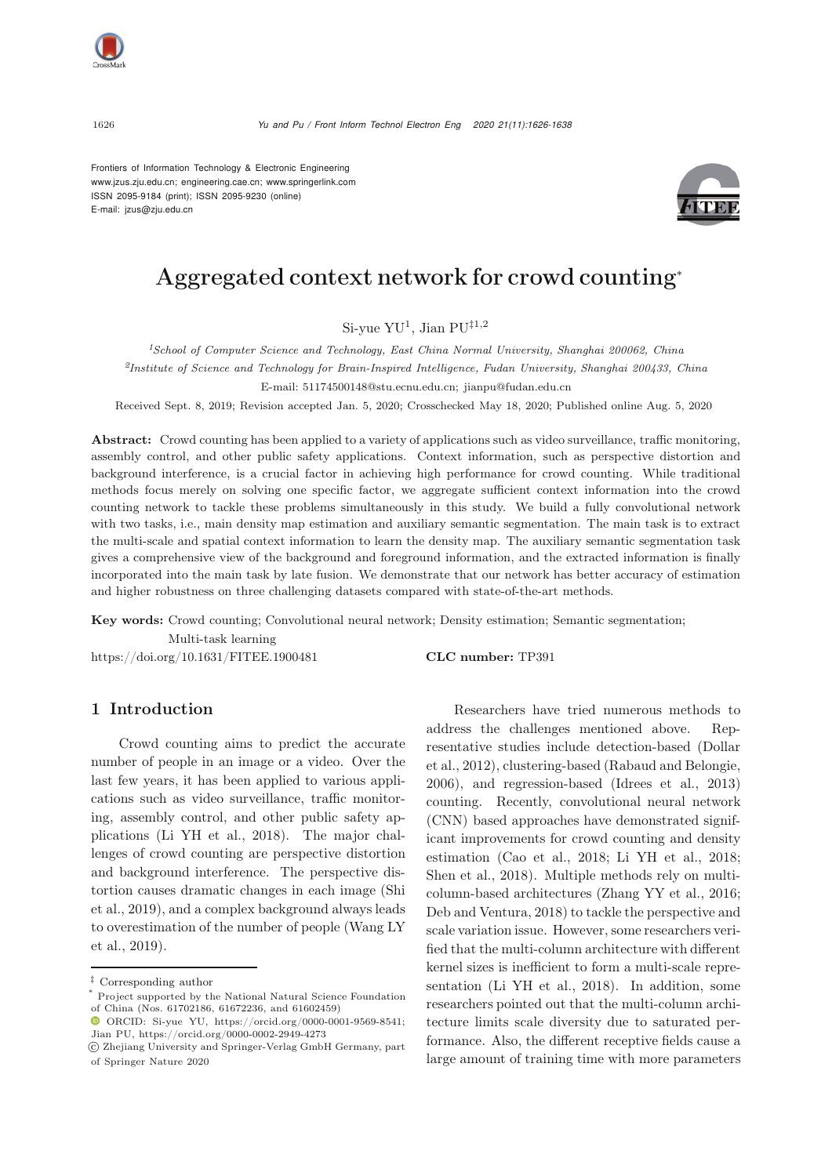

Frontiers of Information Technology & Electronic Engineering [www.jzus.zju.edu.cn;](www.jzus.zju.edu.cn) [engineering.cae.cn;](engineering.cae.cn)<www.springerlink.com> ISSN 2095-9184 (print); ISSN 2095-9230 (online) E-mail: jzus@zju.edu.cn



# Aggregated context network for crowd counting<sup>∗</sup>

Si-yue YU<sup>1</sup>, Jian PU*‡*1,2

*<sup>1</sup>School of Computer Science and Technology, East China Normal University, Shanghai 200062, China <sup>2</sup>Institute of Science and Technology for Brain-Inspired Intelligence, Fudan University, Shanghai 200433, China* E-mail: 51174500148@stu.ecnu.edu.cn; jianpu@fudan.edu.cn

Received Sept. 8, 2019; Revision accepted Jan. 5, 2020; Crosschecked May 18, 2020; Published online Aug. 5, 2020

Abstract: Crowd counting has been applied to a variety of applications such as video surveillance, traffic monitoring, assembly control, and other public safety applications. Context information, such as perspective distortion and background interference, is a crucial factor in achieving high performance for crowd counting. While traditional methods focus merely on solving one specific factor, we aggregate sufficient context information into the crowd counting network to tackle these problems simultaneously in this study. We build a fully convolutional network with two tasks, i.e., main density map estimation and auxiliary semantic segmentation. The main task is to extract the multi-scale and spatial context information to learn the density map. The auxiliary semantic segmentation task gives a comprehensive view of the background and foreground information, and the extracted information is finally incorporated into the main task by late fusion. We demonstrate that our network has better accuracy of estimation and higher robustness on three challenging datasets compared with state-of-the-art methods.

Key words: Crowd counting; Convolutional neural network; Density estimation; Semantic segmentation; Multi-task learning

https://doi.org/10.1631/FITEE.1900481 CLC number: TP391

# 1 Introduction

Crowd counting aims to predict the accurate number of people in an image or a video. Over the last few years, it has been applied to various applications such as video surveillance, traffic monitoring, assembly control, and other public safety applications [\(Li YH et al., 2018\)](#page-11-0). The major challenges of crowd counting are perspective distortion and background interference. The perspective distorti[on](#page-12-0) [causes](#page-12-0) [dramatic](#page-12-0) [changes](#page-12-0) [in](#page-12-0) [each](#page-12-0) [image](#page-12-0) [\(](#page-12-0)Shi et al., [2019\)](#page-12-0), and a complex background always leads to ov[erestimation](#page-12-1) [of](#page-12-1) [the](#page-12-1) [number](#page-12-1) [of](#page-12-1) [people](#page-12-1) [\(](#page-12-1)Wang LY et al., [2019\)](#page-12-1).

Researchers have tried numerous methods to address the challenges mentioned above. Represe[ntative](#page-11-1) [studies](#page-11-1) [include](#page-11-1) [detection-based](#page-11-1) [\(](#page-11-1)Dollar et al., [2012](#page-11-1)), clustering-based [\(Rabaud and Belongie](#page-12-2), [2006](#page-12-2)), and regression-based [\(Idrees et al., 2013](#page-11-2)) counting. Recently, convolutional neural network (CNN) based approaches have demonstrated significant improvements for crowd counting and density estimation [\(Cao et al., 2018;](#page-11-3) [Li YH et al., 2018;](#page-11-0) [Shen et al., 2018\)](#page-12-3). Multiple methods rely on multicolumn-based architectures [\(Zhang YY et al.](#page-12-4), [2016;](#page-12-4) [Deb and Ventura, 2018\)](#page-11-4) to tackle the perspective and scale variation issue. However, some researchers verified that the multi-column architecture with different kernel sizes is inefficient to form a multi-scale representation [\(Li YH et al.](#page-11-0), [2018](#page-11-0)). In addition, some researchers pointed out that the multi-column architecture limits scale diversity due to saturated performance. Also, the different receptive fields cause a large amount of training time with more parameters

*<sup>‡</sup>* Corresponding author

Project supported by the National Natural Science Foundation of China (Nos. 61702186, 61672236, and 61602459)

ORCID: Si-yue YU, https://orcid.org/0000-0001-9569-8541; Jian PU, https://orcid.org/0000-0002-2949-4273

c Zhejiang University and Springer-Verlag GmbH Germany, part of Springer Nature 2020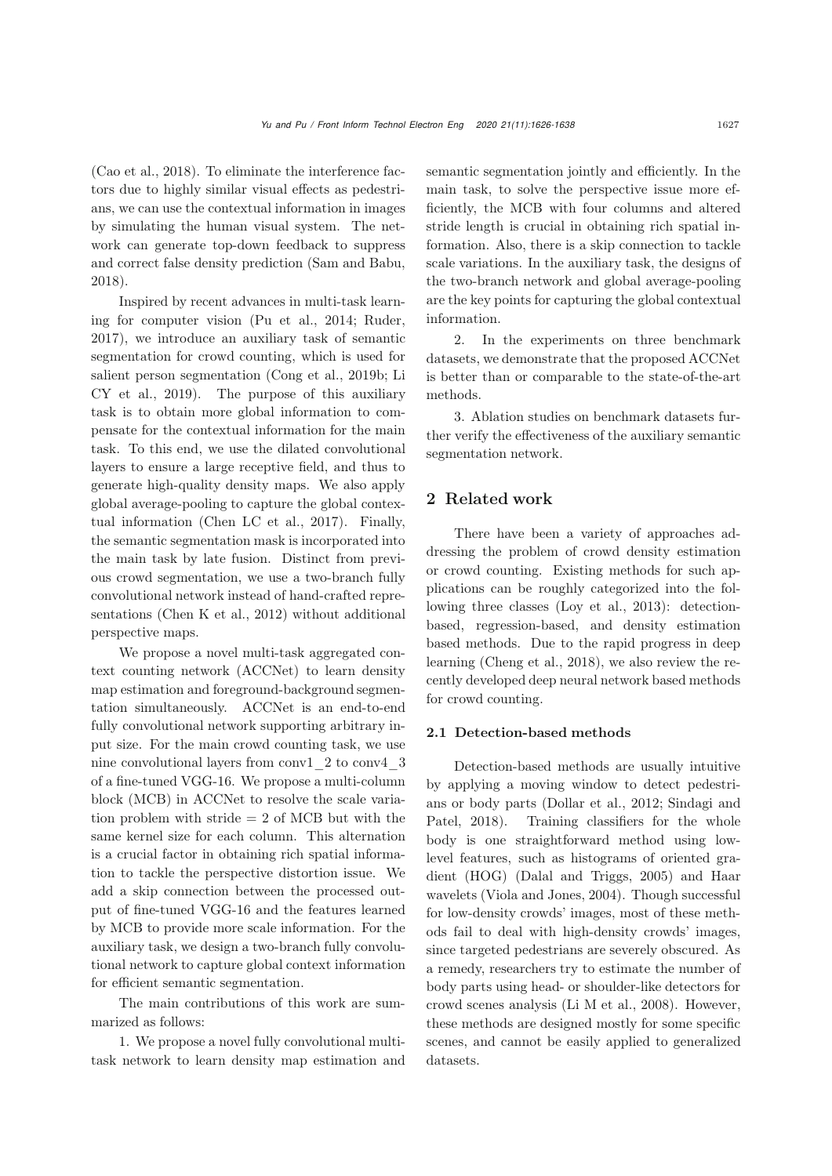[\(Cao et al.](#page-11-3), [2018\)](#page-11-3). To eliminate the interference factors due to highly similar visual effects as pedestrians, we can use the contextual information in images by simulating the human visual system. The network can generate top-down feedback to suppress and correct false density prediction [\(Sam and Babu](#page-12-5), [2018](#page-12-5)).

Inspired by recent advances in multi-task learning for computer vision [\(Pu et al.](#page-12-6), [2014;](#page-12-6) [Ruder](#page-12-7), [2017](#page-12-7)), we introduce an auxiliary task of semantic segmentation for crowd counting, which is used for salient pe[rson](#page-11-6) [segmentation](#page-11-6) [\(Cong et al.](#page-11-5)[,](#page-11-6) [2019b](#page-11-5)[;](#page-11-6) Li CY et al., [2019\)](#page-11-6). The purpose of this auxiliary task is to obtain more global information to compensate for the contextual information for the main task. To this end, we use the dilated convolutional layers to ensure a large receptive field, and thus to generate high-quality density maps. We also apply global average-pooling to capture the global contextual information [\(Chen LC et al., 2017](#page-11-7)). Finally, the semantic segmentation mask is incorporated into the main task by late fusion. Distinct from previous crowd segmentation, we use a two-branch fully convolutional network instead of hand-crafted representations [\(Chen K et al., 2012](#page-11-8)) without additional perspective maps.

We propose a novel multi-task aggregated context counting network (ACCNet) to learn density map estimation and foreground-background segmentation simultaneously. ACCNet is an end-to-end fully convolutional network supporting arbitrary input size. For the main crowd counting task, we use nine convolutional layers from conv1\_2 to conv4\_3 of a fine-tuned VGG-16. We propose a multi-column block (MCB) in ACCNet to resolve the scale variation problem with stride = 2 of MCB but with the same kernel size for each column. This alternation is a crucial factor in obtaining rich spatial information to tackle the perspective distortion issue. We add a skip connection between the processed output of fine-tuned VGG-16 and the features learned by MCB to provide more scale information. For the auxiliary task, we design a two-branch fully convolutional network to capture global context information for efficient semantic segmentation.

The main contributions of this work are summarized as follows:

1. We propose a novel fully convolutional multitask network to learn density map estimation and semantic segmentation jointly and efficiently. In the main task, to solve the perspective issue more efficiently, the MCB with four columns and altered stride length is crucial in obtaining rich spatial information. Also, there is a skip connection to tackle scale variations. In the auxiliary task, the designs of the two-branch network and global average-pooling are the key points for capturing the global contextual information.

2. In the experiments on three benchmark datasets, we demonstrate that the proposed ACCNet is better than or comparable to the state-of-the-art methods.

3. Ablation studies on benchmark datasets further verify the effectiveness of the auxiliary semantic segmentation network.

# 2 Related work

There have been a variety of approaches addressing the problem of crowd density estimation or crowd counting. Existing methods for such applications can be roughly categorized into the following three classes [\(Loy et al., 2013](#page-11-9)): detectionbased, regression-based, and density estimation based methods. Due to the rapid progress in deep learning [\(Cheng et al.](#page-11-10), [2018](#page-11-10)), we also review the recently developed deep neural network based methods for crowd counting.

#### 2.1 Detection-based methods

Detection-based methods are usually intuitive by applying a moving window to detect pedestrians [or](#page-12-8) [body](#page-12-8) [parts](#page-12-8) [\(Dollar et al.](#page-11-1)[,](#page-12-8) [2012](#page-11-1)[;](#page-12-8) Sindagi and Patel, [2018\)](#page-12-8). Training classifiers for the whole body is one straightforward method using lowlevel features, such as histograms of oriented gradient (HOG) [\(Dalal and Triggs, 2005](#page-11-11)) and Haar wavelets [\(Viola and Jones](#page-12-9), [2004](#page-12-9)). Though successful for low-density crowds' images, most of these methods fail to deal with high-density crowds' images, since targeted pedestrians are severely obscured. As a remedy, researchers try to estimate the number of body parts using head- or shoulder-like detectors for crowd scenes analysis [\(Li M et al., 2008\)](#page-11-12). However, these methods are designed mostly for some specific scenes, and cannot be easily applied to generalized datasets.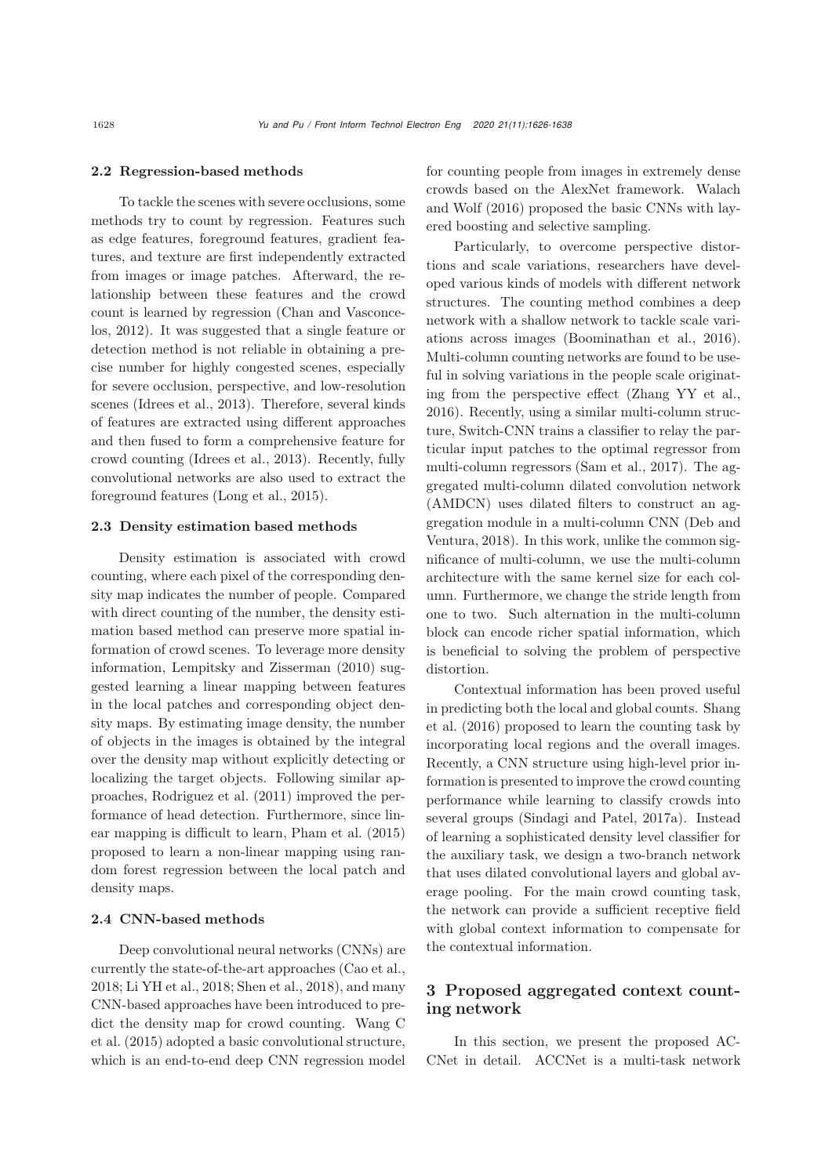#### 2.2 Regression-based methods

To tackle the scenes with severe occlusions, some methods try to count by regression. Features such as edge features, foreground features, gradient features, and texture are first independently extracted from images or image patches. Afterward, the relationship between these features and the crowd co[unt](#page-11-13) [is](#page-11-13) [learned](#page-11-13) [by](#page-11-13) [regression](#page-11-13) [\(](#page-11-13)Chan and Vasconcelos, [2012](#page-11-13)). It was suggested that a single feature or detection method is not reliable in obtaining a precise number for highly congested scenes, especially for severe occlusion, perspective, and low-resolution scenes [\(Idrees et al., 2013\)](#page-11-2). Therefore, several kinds of features are extracted using different approaches and then fused to form a comprehensive feature for crowd counting [\(Idrees](#page-11-2) et al., [2013](#page-11-2)). Recently, fully convolutional networks are also used to extract the foreground features [\(Long et al., 2015](#page-11-14)).

#### 2.3 Density estimation based methods

Density estimation is associated with crowd counting, where each pixel of the corresponding density map indicates the number of people. Compared with direct counting of the number, the density estimation based method can preserve more spatial information of crowd scenes. To leverage more density information, [Lempitsky and Zisserman](#page-11-15) [\(2010\)](#page-11-15) suggested learning a linear mapping between features in the local patches and corresponding object density maps. By estimating image density, the number of objects in the images is obtained by the integral over the density map without explicitly detecting or localizing the target objects. Following similar approaches, [Rodriguez et al.](#page-12-10) [\(2011](#page-12-10)) improved the performance of head detection. Furthermore, since linear mapping is difficult to learn, [Pham et al.](#page-12-11) [\(2015](#page-12-11)) proposed to learn a non-linear mapping using random forest regression between the local patch and density maps.

#### 2.4 CNN-based methods

Deep convolutional neural networks (CNNs) are currently the state-of-the-art approaches [\(Cao et al.](#page-11-3), [2018](#page-11-3); [Li YH et al., 2018;](#page-11-0) [Shen et al.](#page-12-3), [2018](#page-12-3)), and many CNN-based approaches have been introduced to predict [the](#page-12-12) [density](#page-12-12) [map](#page-12-12) [for](#page-12-12) [crowd](#page-12-12) [counting.](#page-12-12) Wang C et al. [\(2015\)](#page-12-12) adopted a basic convolutional structure, which is an end-to-end deep CNN regression model

for counting people from images in extremely dense crowds [based](#page-12-13) [on](#page-12-13) [the](#page-12-13) [AlexNet](#page-12-13) [framework.](#page-12-13) Walach and Wolf [\(2016\)](#page-12-13) proposed the basic CNNs with layered boosting and selective sampling.

Particularly, to overcome perspective distortions and scale variations, researchers have developed various kinds of models with different network structures. The counting method combines a deep network with a shallow network to tackle scale variations across images [\(Boominathan et al.](#page-11-16), [2016\)](#page-11-16). Multi-column counting networks are found to be useful in solving variations in the people scale originating from the perspective effect [\(Zhang YY et al.](#page-12-4), [2016](#page-12-4)). Recently, using a similar multi-column structure, Switch-CNN trains a classifier to relay the particular input patches to the optimal regressor from multi-column regressors [\(Sam et al.](#page-12-14), [2017\)](#page-12-14). The aggregated multi-column dilated convolution network (AMDCN) uses dilated filters to construct an aggregati[on](#page-11-4) [module](#page-11-4) [in](#page-11-4) [a](#page-11-4) [multi-column](#page-11-4) [CNN](#page-11-4) [\(](#page-11-4)Deb and Ventura, [2018](#page-11-4)). In this work, unlike the common significance of multi-column, we use the multi-column architecture with the same kernel size for each column. Furthermore, we change the stride length from one to two. Such alternation in the multi-column block can encode richer spatial information, which is beneficial to solving the problem of perspective distortion.

Contextual information has been proved useful in pr[edicting](#page-12-15) [both](#page-12-15) [the](#page-12-15) [local](#page-12-15) [and](#page-12-15) [global](#page-12-15) [counts.](#page-12-15) Shang et al. [\(2016](#page-12-15)) proposed to learn the counting task by incorporating local regions and the overall images. Recently, a CNN structure using high-level prior information is presented to improve the crowd counting performance while learning to classify crowds into several groups [\(Sindagi and Patel](#page-12-16), [2017a](#page-12-16)). Instead of learning a sophisticated density level classifier for the auxiliary task, we design a two-branch network that uses dilated convolutional layers and global average pooling. For the main crowd counting task, the network can provide a sufficient receptive field with global context information to compensate for the contextual information.

# 3 Proposed aggregated context counting network

In this section, we present the proposed AC-CNet in detail. ACCNet is a multi-task network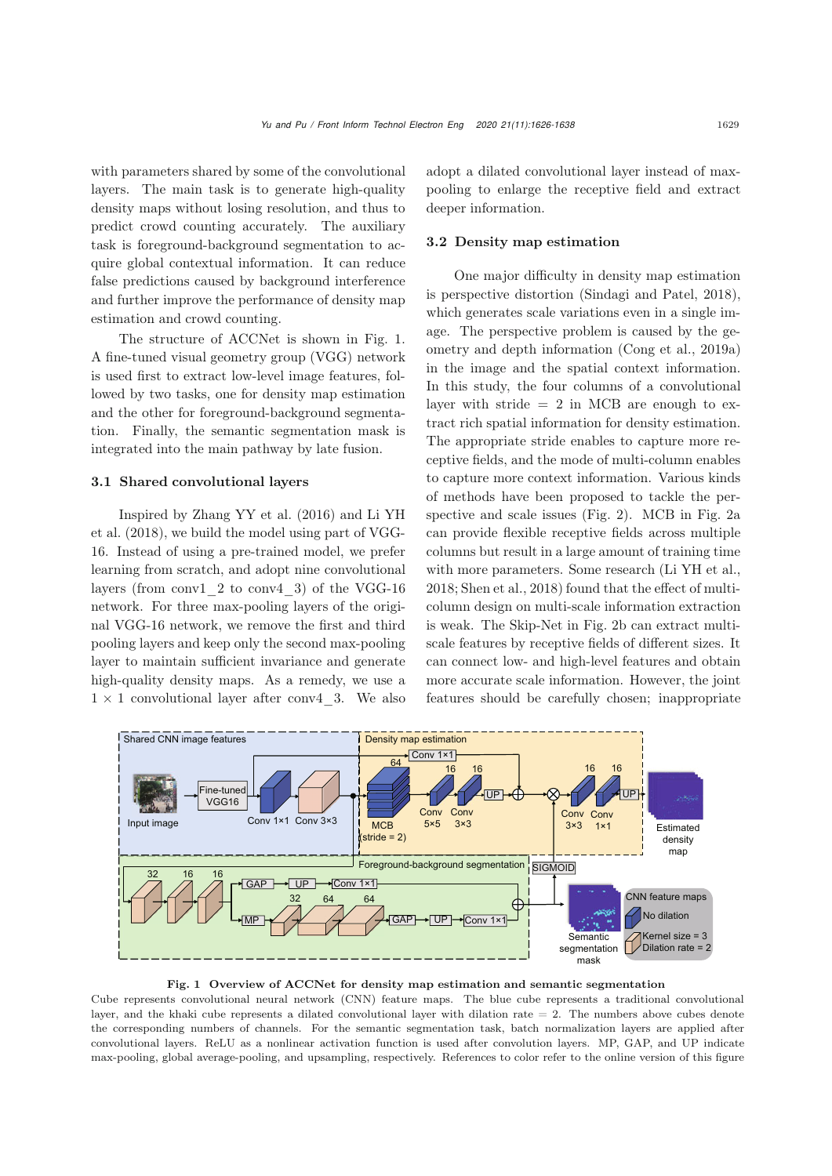with parameters shared by some of the convolutional layers. The main task is to generate high-quality density maps without losing resolution, and thus to predict crowd counting accurately. The auxiliary task is foreground-background segmentation to acquire global contextual information. It can reduce false predictions caused by background interference and further improve the performance of density map estimation and crowd counting.

The structure of ACCNet is shown in Fig. [1.](#page-3-0) A fine-tuned visual geometry group (VGG) network is used first to extract low-level image features, followed by two tasks, one for density map estimation and the other for foreground-background segmentation. Finally, the semantic segmentation mask is integrated into the main pathway by late fusion.

### 3.1 Shared convolutional layers

[Inspired](#page-11-0) [by](#page-11-0) [Zhang YY et al.](#page-12-4) [\(2016](#page-12-4)[\)](#page-11-0) [and](#page-11-0) Li YH et al. [\(2018](#page-11-0)), we build the model using part of VGG-16. Instead of using a pre-trained model, we prefer learning from scratch, and adopt nine convolutional layers (from conv1\_2 to conv4\_3) of the VGG-16 network. For three max-pooling layers of the original VGG-16 network, we remove the first and third pooling layers and keep only the second max-pooling layer to maintain sufficient invariance and generate high-quality density maps. As a remedy, we use a  $1 \times 1$  convolutional layer after conv4 3. We also adopt a dilated convolutional layer instead of maxpooling to enlarge the receptive field and extract deeper information.

#### <span id="page-3-1"></span>3.2 Density map estimation

One major difficulty in density map estimation is perspective distortion [\(Sindagi and Patel, 2018\)](#page-12-8), which generates scale variations even in a single image. The perspective problem is caused by the geometry and depth information [\(Cong et al., 2019a\)](#page-11-17) in the image and the spatial context information. In this study, the four columns of a convolutional layer with stride  $= 2$  in MCB are enough to extract rich spatial information for density estimation. The appropriate stride enables to capture more receptive fields, and the mode of multi-column enables to capture more context information. Various kinds of methods have been proposed to tackle the perspective and scale issues (Fig. [2\)](#page-4-0). MCB in Fig. [2a](#page-4-0) can provide flexible receptive fields across multiple columns but result in a large amount of training time with more parameters. Some research [\(Li YH et al.](#page-11-0), [2018](#page-11-0); [Shen et al.](#page-12-3), [2018](#page-12-3)) found that the effect of multicolumn design on multi-scale information extraction is weak. The Skip-Net in Fig. [2b](#page-4-0) can extract multiscale features by receptive fields of different sizes. It can connect low- and high-level features and obtain more accurate scale information. However, the joint features should be carefully chosen; inappropriate



#### <span id="page-3-0"></span>Fig. 1 Overview of ACCNet for density map estimation and semantic segmentation

Cube represents convolutional neural network (CNN) feature maps. The blue cube represents a traditional convolutional layer, and the khaki cube represents a dilated convolutional layer with dilation rate = 2. The numbers above cubes denote the corresponding numbers of channels. For the semantic segmentation task, batch normalization layers are applied after convolutional layers. ReLU as a nonlinear activation function is used after convolution layers. MP, GAP, and UP indicate max-pooling, global average-pooling, and upsampling, respectively. References to color refer to the online version of this figure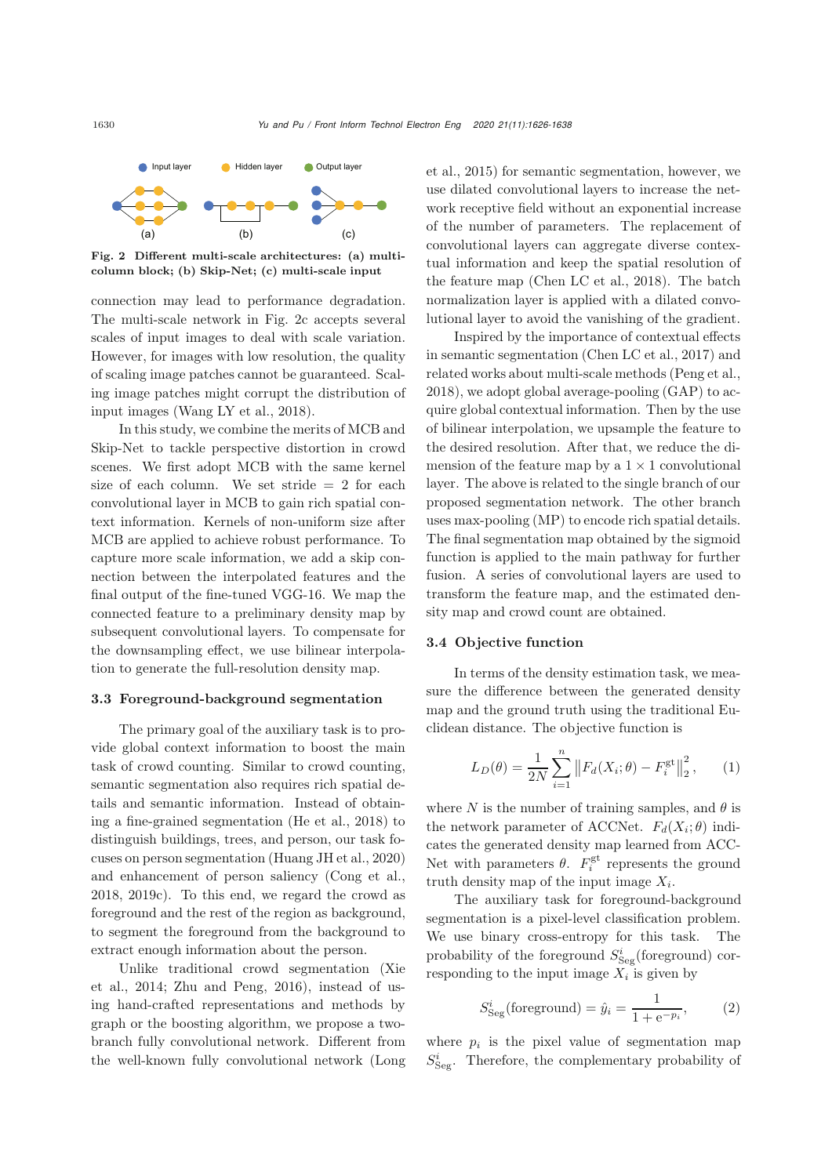

<span id="page-4-0"></span>Fig. 2 Different multi-scale architectures: (a) multicolumn block; (b) Skip-Net; (c) multi-scale input

connection may lead to performance degradation. The multi-scale network in Fig. [2c](#page-4-0) accepts several scales of input images to deal with scale variation. However, for images with low resolution, the quality of scaling image patches cannot be guaranteed. Scaling image patches might corrupt the distribution of input images (Wang [LY et al.](#page-12-17), [2018](#page-12-17)).

In this study, we combine the merits of MCB and Skip-Net to tackle perspective distortion in crowd scenes. We first adopt MCB with the same kernel size of each column. We set stride  $= 2$  for each convolutional layer in MCB to gain rich spatial context information. Kernels of non-uniform size after MCB are applied to achieve robust performance. To capture more scale information, we add a skip connection between the interpolated features and the final output of the fine-tuned VGG-16. We map the connected feature to a preliminary density map by subsequent convolutional layers. To compensate for the downsampling effect, we use bilinear interpolation to generate the full-resolution density map.

#### 3.3 Foreground-background segmentation

The primary goal of the auxiliary task is to provide global context information to boost the main task of crowd counting. Similar to crowd counting, semantic segmentation also requires rich spatial details and semantic information. Instead of obtaining a fine-grained segmentation [\(He et al., 2018](#page-11-18)) to distinguish buildings, trees, and person, our task focuses on person segmentation [\(Huang JH et al., 2](#page-11-19)[020\)](#page-11-14) and enhancement of person saliency [\(Cong et al.](#page-11-20), [2018](#page-11-20), [2019c](#page-11-21)). To this end, we regard the crowd as foreground and the rest of the region as background, to segment the foreground from the background to extract enough information about the person.

[Unlike](#page-12-18) [traditional](#page-12-18) [crowd](#page-12-18) [segmentation](#page-12-18) [\(](#page-12-18)Xie et al., [2014;](#page-12-18) [Zhu and Peng, 2016](#page-12-19)), instead of using hand-crafted representations and methods by graph or the boosting algorithm, we propose a twobranch fully convolutional network. Different from the well-known fully convolutional network (Long et al., [2015\)](#page-11-14) for semantic segmentation, however, we use dilated convolutional layers to increase the network receptive field without an exponential increase of the number of parameters. The replacement of convolutional layers can aggregate diverse contextual information and keep the spatial resolution of the feature map [\(Chen LC et al.](#page-11-22), [2018\)](#page-11-22). The batch normalization layer is applied with a dilated convolutional layer to avoid the vanishing of the gradient.

Inspired by the importance of contextual effects in semantic segmentation [\(Chen LC et al., 2017\)](#page-11-7) and related works about multi-scale methods [\(Peng et al.](#page-12-20), [2018](#page-12-20)), we adopt global average-pooling (GAP) to acquire global contextual information. Then by the use of bilinear interpolation, we upsample the feature to the desired resolution. After that, we reduce the dimension of the feature map by a  $1 \times 1$  convolutional layer. The above is related to the single branch of our proposed segmentation network. The other branch uses max-pooling (MP) to encode rich spatial details. The final segmentation map obtained by the sigmoid function is applied to the main pathway for further fusion. A series of convolutional layers are used to transform the feature map, and the estimated density map and crowd count are obtained.

### 3.4 Objective function

In terms of the density estimation task, we measure the difference between the generated density map and the ground truth using the traditional Euclidean distance. The objective function is

$$
L_D(\theta) = \frac{1}{2N} \sum_{i=1}^{n} \left\| F_d(X_i; \theta) - F_i^{\text{gt}} \right\|_2^2, \qquad (1)
$$

where N is the number of training samples, and  $\theta$  is the network parameter of ACCNet.  $F_d(X_i; \theta)$  indicates the generated density map learned from ACC-Net with parameters  $\theta$ .  $F_i^{\text{gt}}$  represents the ground truth density map of the input image  $X_i$ .

The auxiliary task for foreground-background segmentation is a pixel-level classification problem. We use binary cross-entropy for this task. The probability of the foreground  $S_{\text{Seg}}^i$  (foreground) cor-<br>recovariant to the input image  $Y$  is given by responding to the input image  $X_i$  is given by

$$
S_{\text{Seg}}^{i}(\text{foreground}) = \hat{y}_{i} = \frac{1}{1 + e^{-p_{i}}},\qquad(2)
$$

where  $p_i$  is the pixel value of segmentation map  $S_{\rm Seg}^i$  . Therefore, the complementary probability of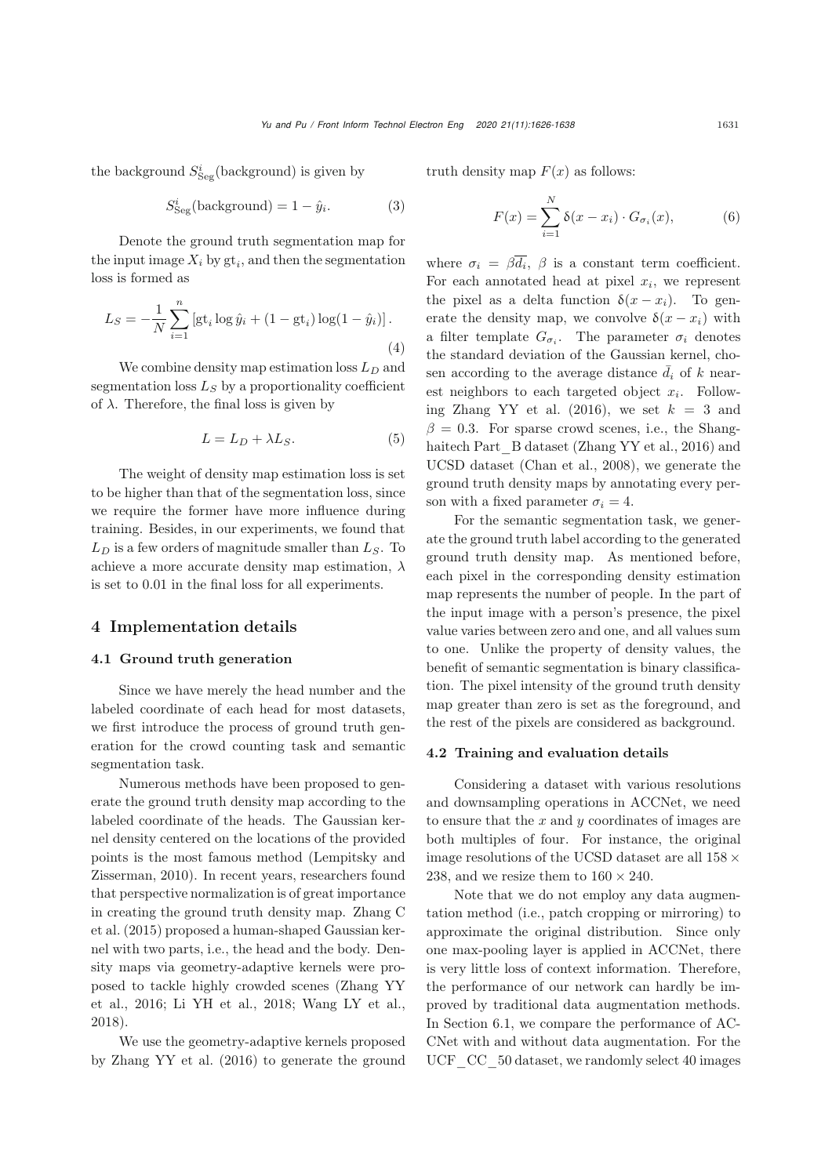the background  $S^i_{\text{Seg}}(\text{background})$  is given by

$$
S_{\text{Seg}}^{i}(\text{background}) = 1 - \hat{y}_{i}.
$$
 (3)

Denote the ground truth segmentation map for the input image  $X_i$  by  $gt_i$ , and then the segmentation loss is formed as

$$
L_S = -\frac{1}{N} \sum_{i=1}^{n} \left[ g t_i \log \hat{y}_i + (1 - gt_i) \log(1 - \hat{y}_i) \right].
$$
\n(4)

We combine density map estimation loss  $L_D$  and segmentation loss  $L_S$  by a proportionality coefficient of  $\lambda$ . Therefore, the final loss is given by

$$
L = L_D + \lambda L_S. \tag{5}
$$

The weight of density map estimation loss is set to be higher than that of the segmentation loss, since we require the former have more influence during training. Besides, in our experiments, we found that  $L_D$  is a few orders of magnitude smaller than  $L_S$ . To achieve a more accurate density map estimation,  $\lambda$ is set to 0.01 in the final loss for all experiments.

### 4 Implementation details

### 4.1 Ground truth generation

Since we have merely the head number and the labeled coordinate of each head for most datasets, we first introduce the process of ground truth generation for the crowd counting task and semantic segmentation task.

Numerous methods have been proposed to generate the ground truth density map according to the labeled coordinate of the heads. The Gaussian kernel density centered on the locations of the provided points is [the](#page-11-15) [most](#page-11-15) [famous](#page-11-15) [method](#page-11-15) [\(](#page-11-15)Lempitsky and Zisserman, [2010\)](#page-11-15). In recent years, researchers found that perspective normalization is of great importance in creating the ground truth density map. Zhang C et al. [\(2015](#page-12-21)) proposed a human-shaped Gaussian kernel with two parts, i.e., the head and the body. Density maps via geometry-adaptive kernels were propose[d](#page-12-4) [to](#page-12-4) [tackle](#page-12-4) [highly](#page-12-4) [crowded](#page-12-4) [scenes](#page-12-4) [\(](#page-12-4)Zhang YY et al., [2016;](#page-12-4) [Li YH et al.](#page-11-0), [2018;](#page-11-0) [Wang LY et al.](#page-12-17), [2018](#page-12-17)).

We use the geometry-adaptive kernels proposed by [Zhang YY et al.](#page-12-4) [\(2016\)](#page-12-4) to generate the ground truth density map  $F(x)$  as follows:

$$
F(x) = \sum_{i=1}^{N} \delta(x - x_i) \cdot G_{\sigma_i}(x), \tag{6}
$$

where  $\sigma_i = \beta \overline{d_i}$ ,  $\beta$  is a constant term coefficient. For each annotated head at pixel  $x_i$ , we represent the pixel as a delta function  $\delta(x - x_i)$ . To generate the density map, we convolve  $\delta(x - x_i)$  with a filter template  $G_{\sigma_i}$ . The parameter  $\sigma_i$  denotes the standard deviation of the Gaussian kernel, chosen according to the average distance  $\bar{d}_i$  of k nearest neighbors to each targeted object  $x_i$ . Follow-ing [Zhang YY et al.](#page-12-4)  $(2016)$ , we set  $k = 3$  and  $\beta = 0.3$ . For sparse crowd scenes, i.e., the Shang-haitech Part B dataset [\(Zhang YY et al.](#page-12-4), [2016\)](#page-12-4) and UCSD dataset [\(Chan et al., 2008](#page-11-23)), we generate the ground truth density maps by annotating every person with a fixed parameter  $\sigma_i = 4$ .

For the semantic segmentation task, we generate the ground truth label according to the generated ground truth density map. As mentioned before, each pixel in the corresponding density estimation map represents the number of people. In the part of the input image with a person's presence, the pixel value varies between zero and one, and all values sum to one. Unlike the property of density values, the benefit of semantic segmentation is binary classification. The pixel intensity of the ground truth density map greater than zero is set as the foreground, and the rest of the pixels are considered as background.

#### 4.2 Training and evaluation details

Considering a dataset with various resolutions and downsampling operations in ACCNet, we need to ensure that the  $x$  and  $y$  coordinates of images are both multiples of four. For instance, the original image resolutions of the UCSD dataset are all 158 *×* 238, and we resize them to  $160 \times 240$ .

Note that we do not employ any data augmentation method (i.e., patch cropping or mirroring) to approximate the original distribution. Since only one max-pooling layer is applied in ACCNet, there is very little loss of context information. Therefore, the performance of our network can hardly be improved by traditional data augmentation methods. In Section [6.1,](#page-8-0) we compare the performance of AC-CNet with and without data augmentation. For the UCF CC 50 dataset, we randomly select 40 images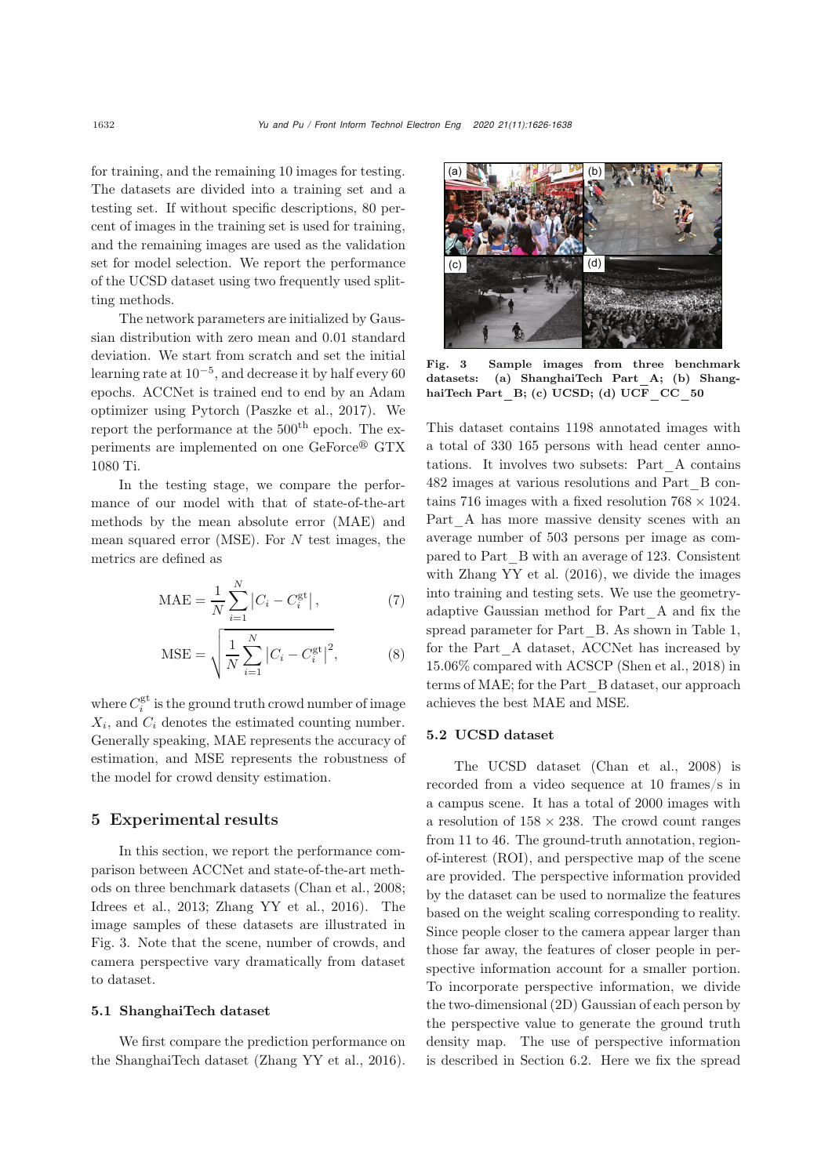for training, and the remaining 10 images for testing. The datasets are divided into a training set and a testing set. If without specific descriptions, 80 percent of images in the training set is used for training, and the remaining images are used as the validation set for model selection. We report the performance of the UCSD dataset using two frequently used splitting methods.

The network parameters are initialized by Gaussian distribution with zero mean and 0.01 standard deviation. We start from scratch and set the initial learning rate at 10*−*5, and decrease it by half every 60 epochs. ACCNet is trained end to end by an Adam optimizer using Pytorch [\(Paszke et al., 2017\)](#page-12-22). We report the performance at the  $500<sup>th</sup>$  epoch. The experiments are implemented on one GeForce<sup>®</sup> GTX 1080 Ti.

In the testing stage, we compare the performance of our model with that of state-of-the-art methods by the mean absolute error (MAE) and mean squared error (MSE). For  $N$  test images, the metrics are defined as

$$
MAE = \frac{1}{N} \sum_{i=1}^{N} |C_i - C_i^{\text{gt}}|, \tag{7}
$$

MSE = 
$$
\sqrt{\frac{1}{N} \sum_{i=1}^{N} |C_i - C_i^{\text{gt}}|^2}
$$
, (8)

where  $C_i^{\text{gt}}$  is the ground truth crowd number of image  $X_i$ , and  $C_i$  denotes the estimated counting number. Generally speaking, MAE represents the accuracy of estimation, and MSE represents the robustness of the model for crowd density estimation.

# 5 Experimental results

In this section, we report the performance comparison between ACCNet and state-of-the-art methods on three benchmark datasets [\(Chan et al., 2008;](#page-11-23) [Idrees et al.](#page-11-2), [2013](#page-11-2); [Zhang YY et al., 2016](#page-12-4)). The image samples of these datasets are illustrated in Fig. [3.](#page-6-0) Note that the scene, number of crowds, and camera perspective vary dramatically from dataset to dataset.

#### 5.1 ShanghaiTech dataset

We first compare the prediction performance on the ShanghaiTech dataset [\(Zhang YY et al.](#page-12-4), [2016\)](#page-12-4).



Fig. 3 Sample images from three benchmark datasets: (a) ShanghaiTech Part\_A; (b) ShanghaiTech Part  $B$ ; (c) UCSD; (d) UCF CC 50

<span id="page-6-0"></span>This dataset contains 1198 annotated images with a total of 330 165 persons with head center annotations. It involves two subsets: Part\_A contains 482 images at various resolutions and Part\_B contains 716 images with a fixed resolution 768 *×* 1024. Part A has more massive density scenes with an average number of 503 persons per image as compared to Part\_B with an average of 123. Consistent with [Zhang YY et al.](#page-12-4) [\(2016\)](#page-12-4), we divide the images into training and testing sets. We use the geometryadaptive Gaussian method for Part\_A and fix the spread parameter for Part B. As shown in Table [1,](#page-7-0) for the Part\_A dataset, ACCNet has increased by 15.06% compared with ACSCP [\(Shen et al.](#page-12-3), [2018\)](#page-12-3) in terms of MAE; for the Part\_B dataset, our approach achieves the best MAE and MSE.

## 5.2 UCSD dataset

The UCSD dataset [\(Chan et al., 2008\)](#page-11-23) is recorded from a video sequence at 10 frames/s in a campus scene. It has a total of 2000 images with a resolution of 158 *×* 238. The crowd count ranges from 11 to 46. The ground-truth annotation, regionof-interest (ROI), and perspective map of the scene are provided. The perspective information provided by the dataset can be used to normalize the features based on the weight scaling corresponding to reality. Since people closer to the camera appear larger than those far away, the features of closer people in perspective information account for a smaller portion. To incorporate perspective information, we divide the two-dimensional (2D) Gaussian of each person by the perspective value to generate the ground truth density map. The use of perspective information is described in Section [6.2.](#page-9-0) Here we fix the spread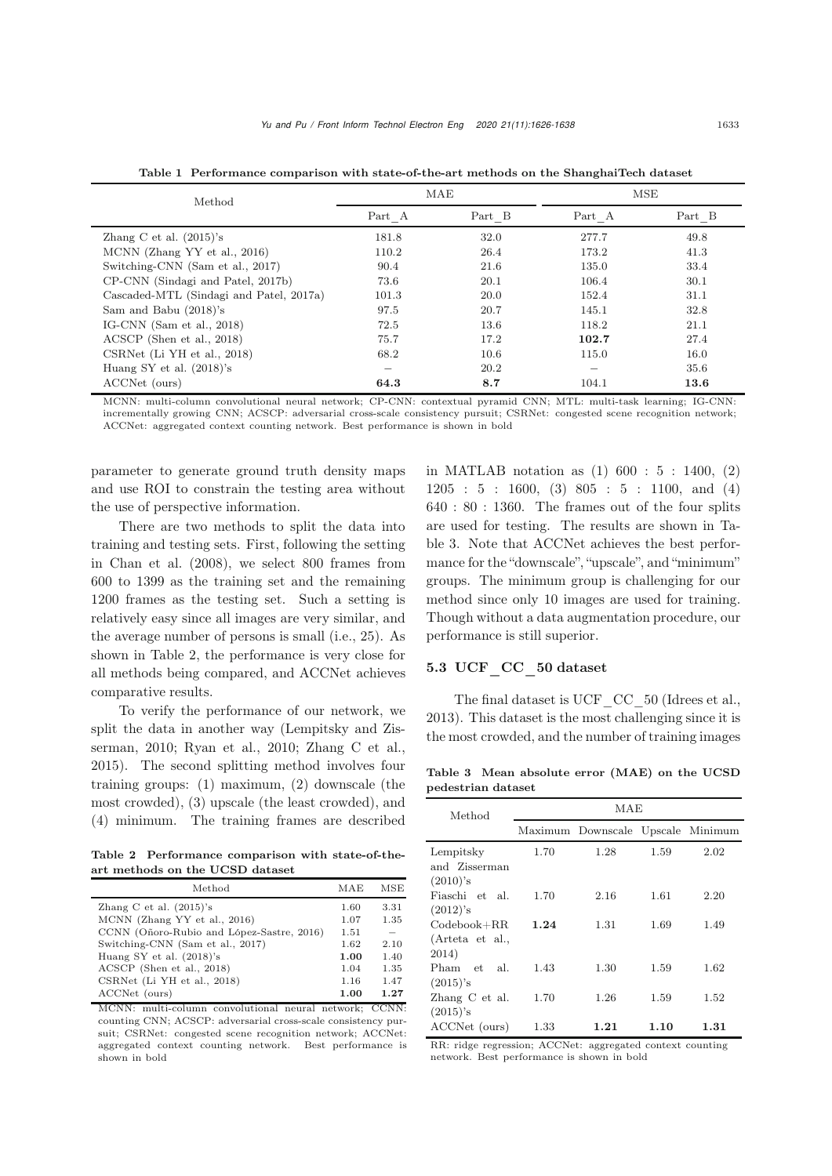| Method                                  |        | MAE    | <b>MSE</b> |        |  |
|-----------------------------------------|--------|--------|------------|--------|--|
|                                         | Part A | Part B | Part A     | Part B |  |
| Zhang C et al. $(2015)$ 's              | 181.8  | 32.0   | 277.7      | 49.8   |  |
| MCNN (Zhang YY et al., 2016)            | 110.2  | 26.4   | 173.2      | 41.3   |  |
| Switching-CNN (Sam et al., 2017)        | 90.4   | 21.6   | 135.0      | 33.4   |  |
| CP-CNN (Sindagi and Patel, 2017b)       | 73.6   | 20.1   | 106.4      | 30.1   |  |
| Cascaded-MTL (Sindagi and Patel, 2017a) | 101.3  | 20.0   | 152.4      | 31.1   |  |
| Sam and Babu (2018)'s                   | 97.5   | 20.7   | 145.1      | 32.8   |  |
| IG-CNN $(Sam et al., 2018)$             | 72.5   | 13.6   | 118.2      | 21.1   |  |
| ACSCP (Shen et al., 2018)               | 75.7   | 17.2   | 102.7      | 27.4   |  |
| CSRNet (Li YH et al., 2018)             | 68.2   | 10.6   | 115.0      | 16.0   |  |
| Huang SY et al. $(2018)$ 's             |        | 20.2   |            | 35.6   |  |
| ACCNet (ours)                           | 64.3   | 8.7    | 104.1      | 13.6   |  |

<span id="page-7-0"></span>Table 1 Performance comparison with state-of-the-art methods on the ShanghaiTech dataset

MCNN: multi-column convolutional neural network; CP-CNN: contextual pyramid CNN; MTL: multi-task learning; IG-CNN: incrementally growing CNN; ACSCP: adversarial cross-scale consistency pursuit; CSRNet: congested scene recognition network; ACCNet: aggregated context counting network. Best performance is shown in bold

parameter to generate ground truth density maps and use ROI to constrain the testing area without the use of perspective information.

There are two methods to split the data into training and testing sets. First, following the setting in [Chan et al.](#page-11-23) [\(2008](#page-11-23)), we select 800 frames from 600 to 1399 as the training set and the remaining 1200 frames as the testing set. Such a setting is relatively easy since all images are very similar, and the average number of persons is small (i.e., 25). As shown in Table [2,](#page-7-1) the performance is very close for all methods being compared, and ACCNet achieves comparative results.

To verify the performance of our network, we split t[he](#page-11-15) [data](#page-11-15) [in](#page-11-15) [another](#page-11-15) [way](#page-11-15) [\(](#page-11-15)Lempitsky and Zisserman, [2010](#page-11-15); [Ryan et al., 2010;](#page-12-25) [Zhang C et al.](#page-12-21), [2015](#page-12-21)). The second splitting method involves four training groups: (1) maximum, (2) downscale (the most crowded), (3) upscale (the least crowded), and (4) minimum. The training frames are described

Table 2 Performance comparison with state-of-theart methods on the UCSD dataset

<span id="page-7-1"></span>

| Method                                                                                                                                                                                                                                 | MAE                                                  | MSE                                          |
|----------------------------------------------------------------------------------------------------------------------------------------------------------------------------------------------------------------------------------------|------------------------------------------------------|----------------------------------------------|
| Zhang C et al. $(2015)$ 's<br>MCNN (Zhang YY et al., 2016)<br>CCNN (Oñoro-Rubio and López-Sastre, 2016)<br>Switching-CNN (Sam et al., 2017)<br>Huang SY et al. $(2018)$ 's<br>ACSCP (Shen et al., 2018)<br>CSRNet (Li YH et al., 2018) | 1.60<br>1.07<br>1.51<br>1.62<br>1.00<br>1.04<br>1.16 | 3.31<br>1.35<br>2.10<br>1.40<br>1.35<br>1.47 |
| ACCNet (ours)                                                                                                                                                                                                                          | 1.00                                                 | 1.27                                         |

MCNN: multi-column convolutional neural network; CCNN: counting CNN; ACSCP: adversarial cross-scale consistency pursuit; CSRNet: congested scene recognition network; ACCNet: aggregated context counting network. Best performance is shown in bold

in MATLAB notation as (1) 600 : 5 : 1400, (2) 1205 : 5 : 1600, (3) 805 : 5 : 1100, and (4) 640 : 80 : 1360. The frames out of the four splits are used for testing. The results are shown in Table [3.](#page-7-2) Note that ACCNet achieves the best performance for the "downscale", "upscale", and "minimum" groups. The minimum group is challenging for our method since only 10 images are used for training. Though without a data augmentation procedure, our performance is still superior.

# 5.3 UCF\_CC\_50 dataset

The final dataset is UCF CC 50 [\(Idrees et al.](#page-11-2), [2013](#page-11-2)). This dataset is the most challenging since it is the most crowded, and the number of training images

Table 3 Mean absolute error (MAE) on the UCSD pedestrian dataset

<span id="page-7-2"></span>

| Method                                    | MAE  |                                   |      |      |  |  |  |
|-------------------------------------------|------|-----------------------------------|------|------|--|--|--|
|                                           |      | Maximum Downscale Upscale Minimum |      |      |  |  |  |
| Lempitsky<br>and Zisserman<br>$(2010)$ 's | 1.70 | 1.28                              | 1.59 | 2.02 |  |  |  |
| Fiaschi et al.<br>$(2012)$ 's             | 1.70 | 2.16                              | 1.61 | 2.20 |  |  |  |
| $Codebook+RR$<br>(Arteta et al.,<br>2014) | 1.24 | 1.31                              | 1.69 | 1.49 |  |  |  |
| Pham<br>et al.<br>$(2015)$ 's             | 1.43 | 1.30                              | 1.59 | 1.62 |  |  |  |
| Zhang C et al.<br>$(2015)$ 's             | 1.70 | 1.26                              | 1.59 | 1.52 |  |  |  |
| ACCNet (ours)                             | 1.33 | 1.21                              | 1.10 | 1.31 |  |  |  |

RR: ridge regression; ACCNet: aggregated context counting network. Best performance is shown in bold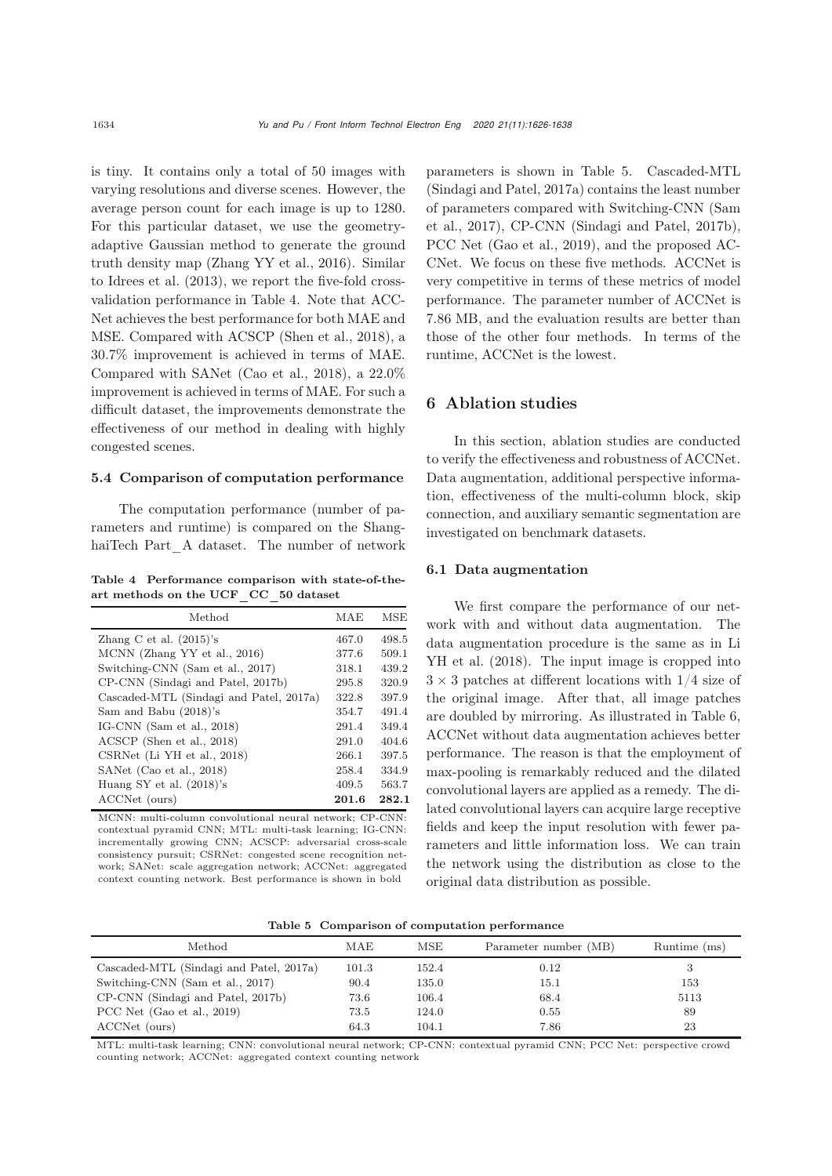is tiny. It contains only a total of 50 images with varying resolutions and diverse scenes. However, the average person count for each image is up to 1280. For this particular dataset, we use the geometryadaptive Gaussian method to generate the ground truth density map [\(Zhang YY et al., 2016\)](#page-12-4). Similar to [Idrees et al.](#page-11-2) [\(2013\)](#page-11-2), we report the five-fold crossvalidation performance in Table [4.](#page-8-1) Note that ACC-Net achieves the best performance for both MAE and MSE. Compared with ACSCP [\(Shen et al., 2018\)](#page-12-3), a 30.7% improvement is achieved in terms of MAE. Compared with SANet [\(Cao et al., 2018\)](#page-11-3), a 22.0% improvement is achieved in terms of MAE. For such a difficult dataset, the improvements demonstrate the effectiveness of our method in dealing with highly congested scenes.

#### 5.4 Comparison of computation performance

The computation performance (number of parameters and runtime) is compared on the ShanghaiTech Part\_A dataset. The number of network

<span id="page-8-1"></span>Table 4 Performance comparison with state-of-theart methods on the UCF\_CC\_50 dataset

| Method                                  | MAE   | MSE   |
|-----------------------------------------|-------|-------|
| Zhang C et al. $(2015)$ 's              | 467.0 | 498.5 |
| MCNN (Zhang YY et al., 2016)            | 377.6 | 509.1 |
| Switching-CNN (Sam et al., 2017)        | 318.1 | 439.2 |
| CP-CNN (Sindagi and Patel, 2017b)       | 295.8 | 320.9 |
| Cascaded-MTL (Sindagi and Patel, 2017a) | 322.8 | 397.9 |
| Sam and Babu (2018)'s                   | 354.7 | 491.4 |
| IG-CNN $(Sam et al., 2018)$             | 291.4 | 349.4 |
| ACSCP (Shen et al., 2018)               | 291.0 | 404.6 |
| CSRNet (Li YH et al., 2018)             | 266.1 | 397.5 |
| SANet (Cao et al., 2018)                | 258.4 | 334.9 |
| Huang SY et al. $(2018)$ 's             | 409.5 | 563.7 |
| ACCNet (ours)                           | 201.6 | 282.1 |
|                                         |       |       |

MCNN: multi-column convolutional neural network; CP-CNN: contextual pyramid CNN; MTL: multi-task learning; IG-CNN: incrementally growing CNN; ACSCP: adversarial cross-scale consistency pursuit; CSRNet: congested scene recognition network; SANet: scale aggregation network; ACCNet: aggregated context counting network. Best performance is shown in bold

parameters is shown in Table [5.](#page-8-2) Cascaded-MTL [\(Sindagi and Patel](#page-12-16), [2017a\)](#page-12-16) contains the least number of pa[rameters](#page-12-14) [compared](#page-12-14) [with](#page-12-14) [Switching-CNN](#page-12-14) [\(](#page-12-14)Sam et al., [2017\)](#page-12-14), CP-CNN [\(Sindagi and Patel](#page-12-23), [2017b\)](#page-12-23), PCC Net [\(Gao et al.](#page-11-26), [2019\)](#page-11-26), and the proposed AC-CNet. We focus on these five methods. ACCNet is very competitive in terms of these metrics of model performance. The parameter number of ACCNet is 7.86 MB, and the evaluation results are better than those of the other four methods. In terms of the runtime, ACCNet is the lowest.

# 6 Ablation studies

In this section, ablation studies are conducted to verify the effectiveness and robustness of ACCNet. Data augmentation, additional perspective information, effectiveness of the multi-column block, skip connection, and auxiliary semantic segmentation are investigated on benchmark datasets.

#### <span id="page-8-0"></span>6.1 Data augmentation

We first compare the performance of our network with and without data augmentation. The data aug[mentation](#page-11-0) [procedure](#page-11-0) [is](#page-11-0) [the](#page-11-0) [same](#page-11-0) [as](#page-11-0) [in](#page-11-0) Li YH et al. [\(2018](#page-11-0)). The input image is cropped into  $3 \times 3$  patches at different locations with  $1/4$  size of the original image. After that, all image patches are doubled by mirroring. As illustrated in Table [6,](#page-9-1) ACCNet without data augmentation achieves better performance. The reason is that the employment of max-pooling is remarkably reduced and the dilated convolutional layers are applied as a remedy. The dilated convolutional layers can acquire large receptive fields and keep the input resolution with fewer parameters and little information loss. We can train the network using the distribution as close to the original data distribution as possible.

<span id="page-8-2"></span>Table 5 Comparison of computation performance

| Method                                  | MAE   | MSE   | Parameter number (MB) | Runtime (ms) |
|-----------------------------------------|-------|-------|-----------------------|--------------|
| Cascaded-MTL (Sindagi and Patel, 2017a) | 101.3 | 152.4 | 0.12                  |              |
| Switching-CNN (Sam et al., 2017)        | 90.4  | 135.0 | 15.1                  | 153          |
| CP-CNN (Sindagi and Patel, 2017b)       | 73.6  | 106.4 | 68.4                  | 5113         |
| PCC Net (Gao et al., 2019)              | 73.5  | 124.0 | 0.55                  | 89           |
| ACCNet (ours)                           | 64.3  | 104.1 | 7.86                  | 23           |

MTL: multi-task learning; CNN: convolutional neural network; CP-CNN: contextual pyramid CNN; PCC Net: perspective crowd counting network; ACCNet: aggregated context counting network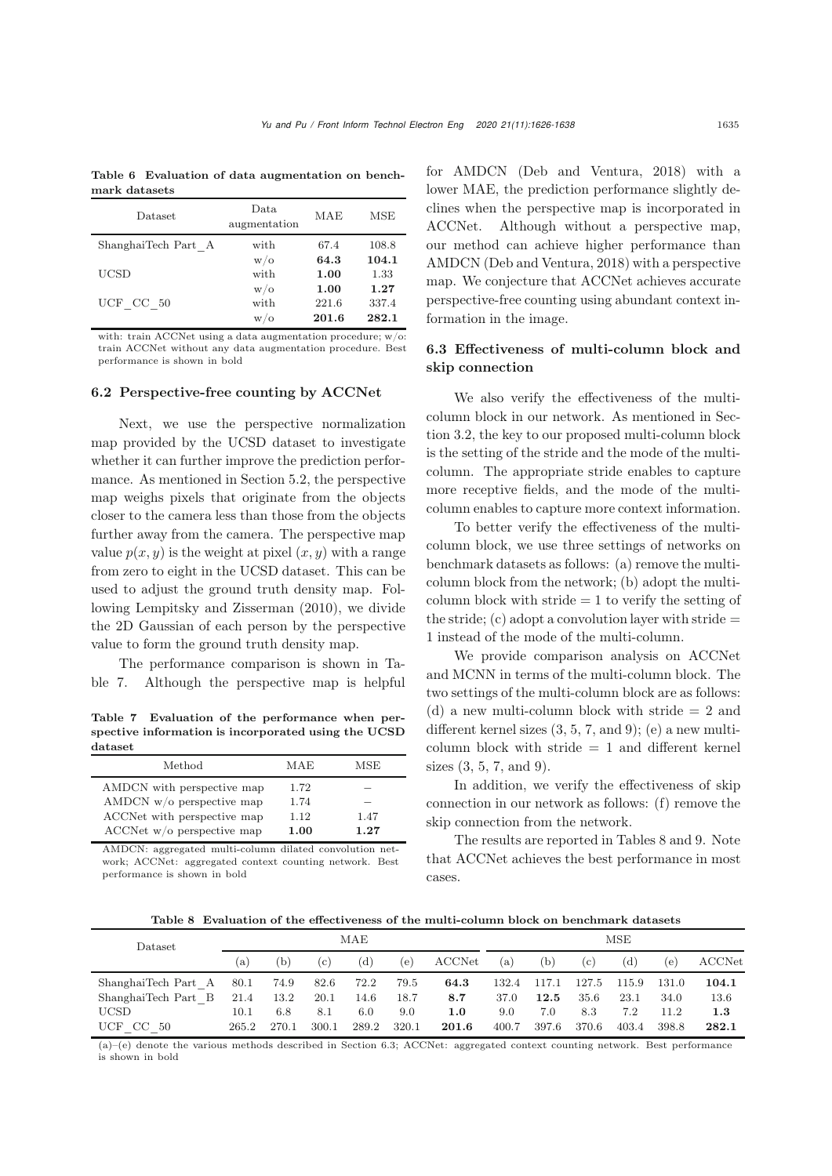<span id="page-9-1"></span>Table 6 Evaluation of data augmentation on benchmark datasets

| Dataset             | Data<br>augmentation | MAE   | <b>MSE</b> |
|---------------------|----------------------|-------|------------|
| ShanghaiTech Part A | with                 | 67.4  | 108.8      |
|                     | $w/\sigma$           | 64.3  | 104.1      |
| UCSD                | with                 | 1.00  | 1.33       |
|                     | W/O                  | 1.00  | 1.27       |
| UCF CC 50           | with                 | 221.6 | 337.4      |
|                     | W/O                  | 201.6 | 282.1      |

with: train ACCNet using a data augmentation procedure; w/o: train ACCNet without any data augmentation procedure. Best performance is shown in bold

#### <span id="page-9-0"></span>6.2 Perspective-free counting by ACCNet

Next, we use the perspective normalization map provided by the UCSD dataset to investigate whether it can further improve the prediction performance. As mentioned in Section 5.2, the perspective map weighs pixels that originate from the objects closer to the camera less than those from the objects further away from the camera. The perspective map value  $p(x, y)$  is the weight at pixel  $(x, y)$  with a range from zero to eight in the UCSD dataset. This can be used to adjust the ground truth density map. Following [Lempitsky and Zisserman](#page-11-15) [\(2010](#page-11-15)), we divide the 2D Gaussian of each person by the perspective value to form the ground truth density map.

The performance comparison is shown in Table [7.](#page-9-2) Although the perspective map is helpful

<span id="page-9-2"></span>Table 7 Evaluation of the performance when perspective information is incorporated using the UCSD dataset

| Method                       | MAE  | MSE  |
|------------------------------|------|------|
| AMDCN with perspective map   | 1.72 |      |
| AMDCN $w/o$ perspective map  | 1.74 |      |
| ACCNet with perspective map  | 1.12 | 1.47 |
| ACCNet $w/o$ perspective map | 1.00 | 1.27 |

AMDCN: aggregated multi-column dilated convolution network; ACCNet: aggregated context counting network. Best performance is shown in bold

for AMDCN [\(Deb and Ventura](#page-11-4), [2018](#page-11-4)) with a lower MAE, the prediction performance slightly declines when the perspective map is incorporated in ACCNet. Although without a perspective map, our method can achieve higher performance than AMDCN [\(Deb and Ventura](#page-11-4), [2018](#page-11-4)) with a perspective map. We conjecture that ACCNet achieves accurate perspective-free counting using abundant context information in the image.

# <span id="page-9-4"></span>6.3 Effectiveness of multi-column block and skip connection

We also verify the effectiveness of the multicolumn block in our network. As mentioned in Section [3.2,](#page-3-1) the key to our proposed multi-column block is the setting of the stride and the mode of the multicolumn. The appropriate stride enables to capture more receptive fields, and the mode of the multicolumn enables to capture more context information.

To better verify the effectiveness of the multicolumn block, we use three settings of networks on benchmark datasets as follows: (a) remove the multicolumn block from the network; (b) adopt the multicolumn block with stride  $= 1$  to verify the setting of the stride;  $(c)$  adopt a convolution layer with stride  $=$ 1 instead of the mode of the multi-column.

We provide comparison analysis on ACCNet and MCNN in terms of the multi-column block. The two settings of the multi-column block are as follows: (d) a new multi-column block with stride  $= 2$  and different kernel sizes (3, 5, 7, and 9); (e) a new multicolumn block with stride  $= 1$  and different kernel sizes (3, 5, 7, and 9).

In addition, we verify the effectiveness of skip connection in our network as follows: (f) remove the skip connection from the network.

The results are reported in Tables [8](#page-9-3) and [9.](#page-10-0) Note that ACCNet achieves the best performance in most cases.

<span id="page-9-3"></span>Table 8 Evaluation of the effectiveness of the multi-column block on benchmark datasets

| <b>Dataset</b>      | MAE   |       |       |       |       | <b>MSE</b> |       |       |       |       |       |        |
|---------------------|-------|-------|-------|-------|-------|------------|-------|-------|-------|-------|-------|--------|
|                     | (a)   |       | (C)   | (d)   | (e)   | ACCNet     | (a)   | (b)   | (c)   | (d)   | (e)   | ACCNet |
| ShanghaiTech Part A | 80.1  | 74.9  | 82.6  | 72.2  | 79.5  | 64.3       | 132.4 | 117.1 | 127.5 | 115.9 | 131.0 | 104.1  |
| ShanghaiTech Part B | 21.4  | 13.2  | 20.1  | 14.6  | 18.7  | 8.7        | 37.0  | 12.5  | 35.6  | 23.1  | 34.0  | 13.6   |
| <b>UCSD</b>         | 10.1  | 6.8   | 8.1   | 6.0   | 9.0   | 1.0        | 9.0   | 7.0   | 8.3   | 7.2   | 11.2  | 1.3    |
| UCF CC 50           | 265.2 | 270.1 | 300.1 | 289.2 | 320.1 | 201.6      | 400.7 | 397.6 | 370.6 | 403.4 | 398.8 | 282.1  |

(a)–(e) denote the various methods described in Section [6.3;](#page-9-4) ACCNet: aggregated context counting network. Best performance is shown in bold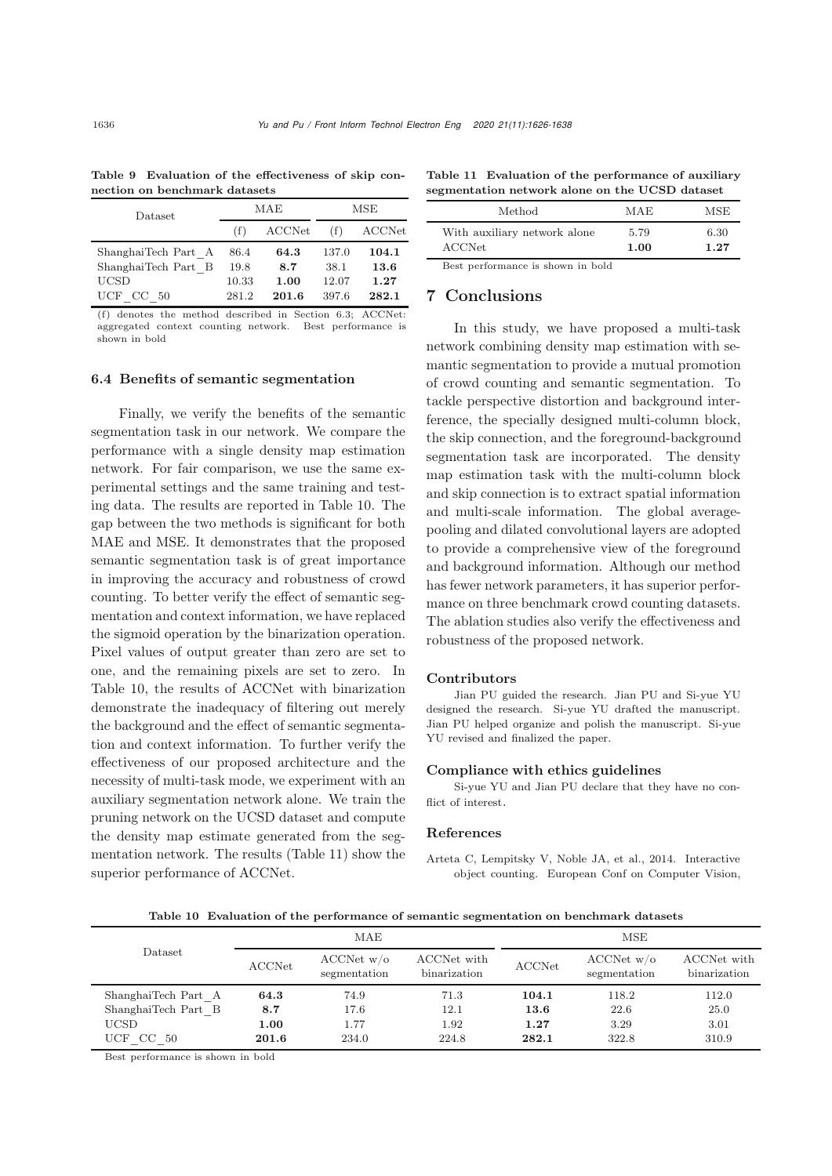| Dataset                                    |                | MAE           | MSE            |               |  |
|--------------------------------------------|----------------|---------------|----------------|---------------|--|
|                                            | (f)            | ACCNet        |                | ACCNet        |  |
| ShanghaiTech Part A<br>ShanghaiTech Part B | 86.4<br>19.8   | 64.3<br>8.7   | 137.0<br>38.1  | 104.1<br>13.6 |  |
| UCSD<br>UCF<br>-50<br>CC.                  | 10.33<br>281.2 | 1.00<br>201.6 | 12.07<br>397.6 | 1.27<br>282.1 |  |

<span id="page-10-0"></span>Table 9 Evaluation of the effectiveness of skip connection on benchmark datasets

(f) denotes the method described in Section [6.3;](#page-9-4) ACCNet: aggregated context counting network. Best performance is shown in bold

#### 6.4 Benefits of semantic segmentation

Finally, we verify the benefits of the semantic segmentation task in our network. We compare the performance with a single density map estimation network. For fair comparison, we use the same experimental settings and the same training and testing data. The results are reported in Table [10.](#page-10-1) The gap between the two methods is significant for both MAE and MSE. It demonstrates that the proposed semantic segmentation task is of great importance in improving the accuracy and robustness of crowd counting. To better verify the effect of semantic segmentation and context information, we have replaced the sigmoid operation by the binarization operation. Pixel values of output greater than zero are set to one, and the remaining pixels are set to zero. In Table [10,](#page-10-1) the results of ACCNet with binarization demonstrate the inadequacy of filtering out merely the background and the effect of semantic segmentation and context information. To further verify the effectiveness of our proposed architecture and the necessity of multi-task mode, we experiment with an auxiliary segmentation network alone. We train the pruning network on the UCSD dataset and compute the density map estimate generated from the segmentation network. The results (Table [11\)](#page-10-2) show the superior performance of ACCNet.

Table 11 Evaluation of the performance of auxiliary segmentation network alone on the UCSD dataset

<span id="page-10-2"></span>

| Method                                        | MAE          | MSE          |
|-----------------------------------------------|--------------|--------------|
| With auxiliary network alone<br><b>ACCNet</b> | 5.79<br>1.00 | 6.30<br>1.27 |
| Best performance is shown in bold             |              |              |

7 Conclusions

In this study, we have proposed a multi-task network combining density map estimation with semantic segmentation to provide a mutual promotion of crowd counting and semantic segmentation. To tackle perspective distortion and background interference, the specially designed multi-column block, the skip connection, and the foreground-background segmentation task are incorporated. The density map estimation task with the multi-column block and skip connection is to extract spatial information and multi-scale information. The global averagepooling and dilated convolutional layers are adopted to provide a comprehensive view of the foreground and background information. Although our method has fewer network parameters, it has superior performance on three benchmark crowd counting datasets. The ablation studies also verify the effectiveness and robustness of the proposed network.

#### Contributors

Jian PU guided the research. Jian PU and Si-yue YU designed the research. Si-yue YU drafted the manuscript. Jian PU helped organize and polish the manuscript. Si-yue YU revised and finalized the paper.

#### Compliance with ethics guidelines

Si-yue YU and Jian PU declare that they have no conflict of interest.

#### References

Arteta C, Lempitsky V, Noble JA, et al., 2014. Interactive object counting. European Conf on Computer Vision,

<span id="page-10-1"></span>Table 10 Evaluation of the performance of semantic segmentation on benchmark datasets

|                     |               | MAE                              |                             | <b>MSE</b> |                                  |                             |  |
|---------------------|---------------|----------------------------------|-----------------------------|------------|----------------------------------|-----------------------------|--|
| Dataset             | <b>ACCNet</b> | $\rm ACCNet~w/o$<br>segmentation | ACCNet with<br>binarization | ACCNet     | $\rm ACCNet~w/o$<br>segmentation | ACCNet with<br>binarization |  |
| ShanghaiTech Part A | 64.3          | 74.9                             | 71.3                        | 104.1      | 118.2                            | 112.0                       |  |
| ShanghaiTech Part B | 8.7           | 17.6                             | 12.1                        | 13.6       | 22.6                             | 25.0                        |  |
| <b>UCSD</b>         | 1.00          | 1.77                             | 1.92                        | 1.27       | 3.29                             | 3.01                        |  |
| UCF CC 50           | 201.6         | 234.0                            | 224.8                       | 282.1      | 322.8                            | 310.9                       |  |

Best performance is shown in bold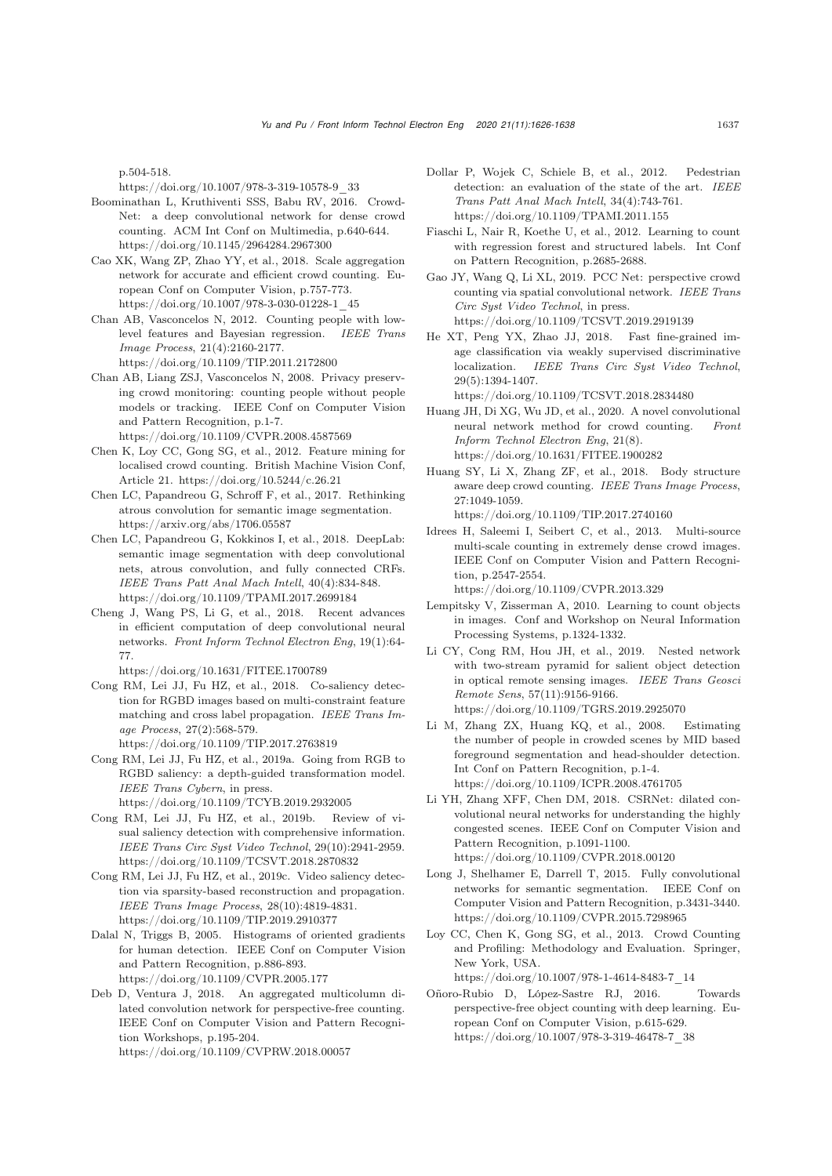p.504-518.

https://doi.org/10.1007/978-3-319-10578-9\_33

- <span id="page-11-16"></span>Boominathan L, Kruthiventi SSS, Babu RV, 2016. Crowd-Net: a deep convolutional network for dense crowd counting. ACM Int Conf on Multimedia, p.640-644. https://doi.org/10.1145/2964284.2967300
- <span id="page-11-3"></span>Cao XK, Wang ZP, Zhao YY, et al., 2018. Scale aggregation network for accurate and efficient crowd counting. European Conf on Computer Vision, p.757-773. https://doi.org/10.1007/978-3-030-01228-1\_45
- <span id="page-11-13"></span>Chan AB, Vasconcelos N, 2012. Counting people with lowlevel features and Bayesian regression. *IEEE Trans Image Process*, 21(4):2160-2177. https://doi.org/10.1109/TIP.2011.2172800
- <span id="page-11-23"></span>Chan AB, Liang ZSJ, Vasconcelos N, 2008. Privacy preserving crowd monitoring: counting people without people models or tracking. IEEE Conf on Computer Vision and Pattern Recognition, p.1-7. https://doi.org/10.1109/CVPR.2008.4587569
- <span id="page-11-8"></span>Chen K, Loy CC, Gong SG, et al., 2012. Feature mining for localised crowd counting. British Machine Vision Conf, Article 21. https://doi.org/10.5244/c.26.21
- <span id="page-11-7"></span>Chen LC, Papandreou G, Schroff F, et al., 2017. Rethinking atrous convolution for semantic image segmentation. https://arxiv.org/abs/1706.05587
- <span id="page-11-22"></span>Chen LC, Papandreou G, Kokkinos I, et al., 2018. DeepLab: semantic image segmentation with deep convolutional nets, atrous convolution, and fully connected CRFs. *IEEE Trans Patt Anal Mach Intell*, 40(4):834-848. https://doi.org/10.1109/TPAMI.2017.2699184
- <span id="page-11-10"></span>Cheng J, Wang PS, Li G, et al., 2018. Recent advances in efficient computation of deep convolutional neural networks. *Front Inform Technol Electron Eng*, 19(1):64- 77.

https://doi.org/10.1631/FITEE.1700789

- <span id="page-11-20"></span>Cong RM, Lei JJ, Fu HZ, et al., 2018. Co-saliency detection for RGBD images based on multi-constraint feature matching and cross label propagation. *IEEE Trans Image Process*, 27(2):568-579. https://doi.org/10.1109/TIP.2017.2763819
- <span id="page-11-17"></span>Cong RM, Lei JJ, Fu HZ, et al., 2019a. Going from RGB to RGBD saliency: a depth-guided transformation model. *IEEE Trans Cybern*, in press. https://doi.org/10.1109/TCYB.2019.2932005
- <span id="page-11-5"></span>Cong RM, Lei JJ, Fu HZ, et al., 2019b. Review of visual saliency detection with comprehensive information. *IEEE Trans Circ Syst Video Technol*, 29(10):2941-2959. https://doi.org/10.1109/TCSVT.2018.2870832
- <span id="page-11-21"></span>Cong RM, Lei JJ, Fu HZ, et al., 2019c. Video saliency detection via sparsity-based reconstruction and propagation. *IEEE Trans Image Process*, 28(10):4819-4831. https://doi.org/10.1109/TIP.2019.2910377
- <span id="page-11-11"></span>Dalal N, Triggs B, 2005. Histograms of oriented gradients for human detection. IEEE Conf on Computer Vision and Pattern Recognition, p.886-893. https://doi.org/10.1109/CVPR.2005.177
- <span id="page-11-4"></span>Deb D, Ventura J, 2018. An aggregated multicolumn dilated convolution network for perspective-free counting. IEEE Conf on Computer Vision and Pattern Recognition Workshops, p.195-204. https://doi.org/10.1109/CVPRW.2018.00057
- <span id="page-11-1"></span>Dollar P, Wojek C, Schiele B, et al., 2012. Pedestrian detection: an evaluation of the state of the art. *IEEE Trans Patt Anal Mach Intell*, 34(4):743-761. https://doi.org/10.1109/TPAMI.2011.155
- Fiaschi L, Nair R, Koethe U, et al., 2012. Learning to count with regression forest and structured labels. Int Conf on Pattern Recognition, p.2685-2688.
- <span id="page-11-26"></span>Gao JY, Wang Q, Li XL, 2019. PCC Net: perspective crowd counting via spatial convolutional network. *IEEE Trans Circ Syst Video Technol*, in press. https://doi.org/10.1109/TCSVT.2019.2919139
- <span id="page-11-18"></span>He XT, Peng YX, Zhao JJ, 2018. Fast fine-grained image classification via weakly supervised discriminative localization. *IEEE Trans Circ Syst Video Technol*, 29(5):1394-1407.

https://doi.org/10.1109/TCSVT.2018.2834480

- <span id="page-11-19"></span>Huang JH, Di XG, Wu JD, et al., 2020. A novel convolutional neural network method for crowd counting. *Front Inform Technol Electron Eng*, 21(8). https://doi.org/10.1631/FITEE.1900282
- <span id="page-11-24"></span>Huang SY, Li X, Zhang ZF, et al., 2018. Body structure aware deep crowd counting. *IEEE Trans Image Process*, 27:1049-1059.

https://doi.org/10.1109/TIP.2017.2740160

<span id="page-11-2"></span>Idrees H, Saleemi I, Seibert C, et al., 2013. Multi-source multi-scale counting in extremely dense crowd images. IEEE Conf on Computer Vision and Pattern Recognition, p.2547-2554.

https://doi.org/10.1109/CVPR.2013.329

- <span id="page-11-15"></span>Lempitsky V, Zisserman A, 2010. Learning to count objects in images. Conf and Workshop on Neural Information Processing Systems, p.1324-1332.
- <span id="page-11-6"></span>Li CY, Cong RM, Hou JH, et al., 2019. Nested network with two-stream pyramid for salient object detection in optical remote sensing images. *IEEE Trans Geosci Remote Sens*, 57(11):9156-9166. https://doi.org/10.1109/TGRS.2019.2925070
- <span id="page-11-12"></span>Li M, Zhang ZX, Huang KQ, et al., 2008. Estimating the number of people in crowded scenes by MID based foreground segmentation and head-shoulder detection. Int Conf on Pattern Recognition, p.1-4. https://doi.org/10.1109/ICPR.2008.4761705
- <span id="page-11-0"></span>Li YH, Zhang XFF, Chen DM, 2018. CSRNet: dilated convolutional neural networks for understanding the highly congested scenes. IEEE Conf on Computer Vision and Pattern Recognition, p.1091-1100. https://doi.org/10.1109/CVPR.2018.00120
- <span id="page-11-14"></span>Long J, Shelhamer E, Darrell T, 2015. Fully convolutional networks for semantic segmentation. IEEE Conf on Computer Vision and Pattern Recognition, p.3431-3440. https://doi.org/10.1109/CVPR.2015.7298965
- <span id="page-11-9"></span>Loy CC, Chen K, Gong SG, et al., 2013. Crowd Counting and Profiling: Methodology and Evaluation. Springer, New York, USA. https://doi.org/10.1007/978-1-4614-8483-7\_14
- <span id="page-11-25"></span>Oñoro-Rubio D, López-Sastre RJ, 2016. Towards perspective-free object counting with deep learning. European Conf on Computer Vision, p.615-629. https://doi.org/10.1007/978-3-319-46478-7\_38